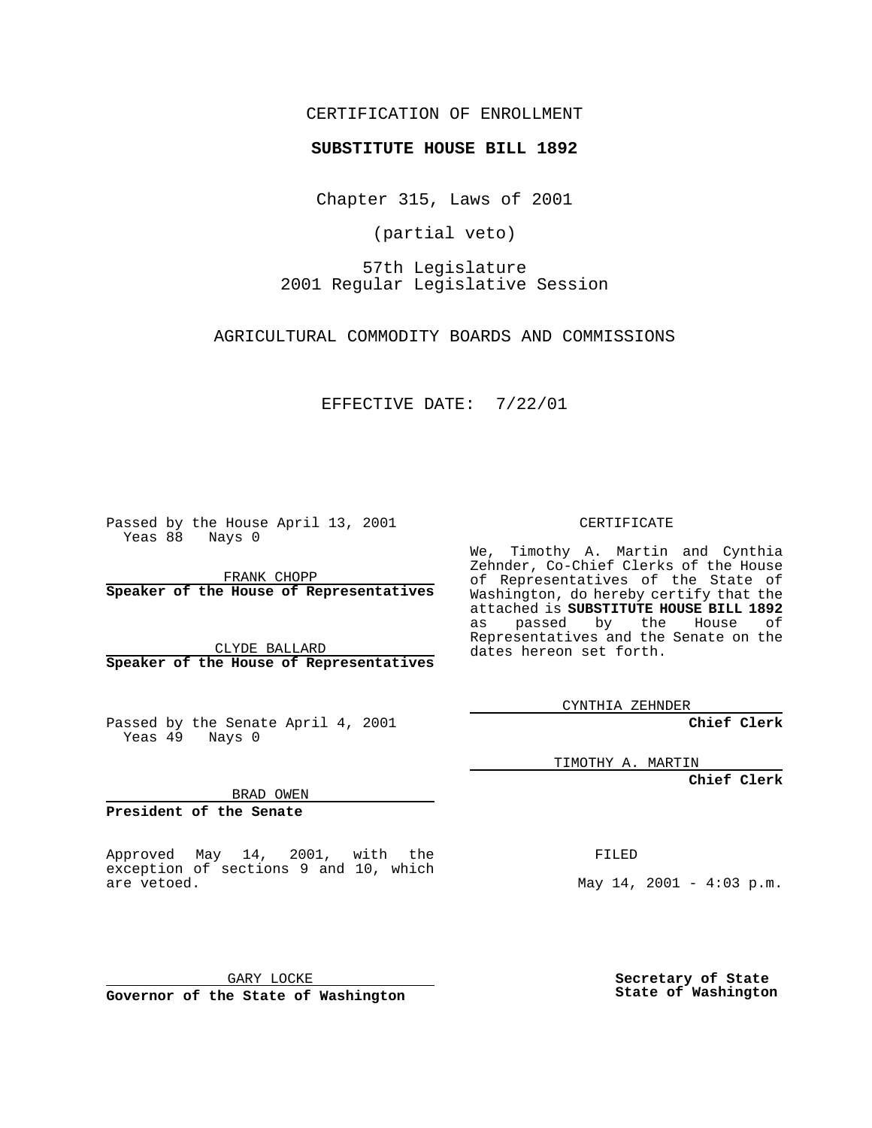CERTIFICATION OF ENROLLMENT

## **SUBSTITUTE HOUSE BILL 1892**

Chapter 315, Laws of 2001

(partial veto)

57th Legislature 2001 Regular Legislative Session

AGRICULTURAL COMMODITY BOARDS AND COMMISSIONS

EFFECTIVE DATE: 7/22/01

Passed by the House April 13, 2001 Yeas 88 Nays 0

FRANK CHOPP **Speaker of the House of Representatives**

CLYDE BALLARD **Speaker of the House of Representatives**

Passed by the Senate April 4, 2001 Yeas 49 Nays 0

CERTIFICATE

We, Timothy A. Martin and Cynthia Zehnder, Co-Chief Clerks of the House of Representatives of the State of Washington, do hereby certify that the attached is **SUBSTITUTE HOUSE BILL 1892** as passed by the House of Representatives and the Senate on the dates hereon set forth.

CYNTHIA ZEHNDER

**Chief Clerk**

TIMOTHY A. MARTIN

**Chief Clerk**

BRAD OWEN

**President of the Senate**

Approved May 14, 2001, with the exception of sections 9 and 10, which are vetoed.

FILED

May  $14$ ,  $2001 - 4:03$  p.m.

GARY LOCKE **Governor of the State of Washington**

**Secretary of State State of Washington**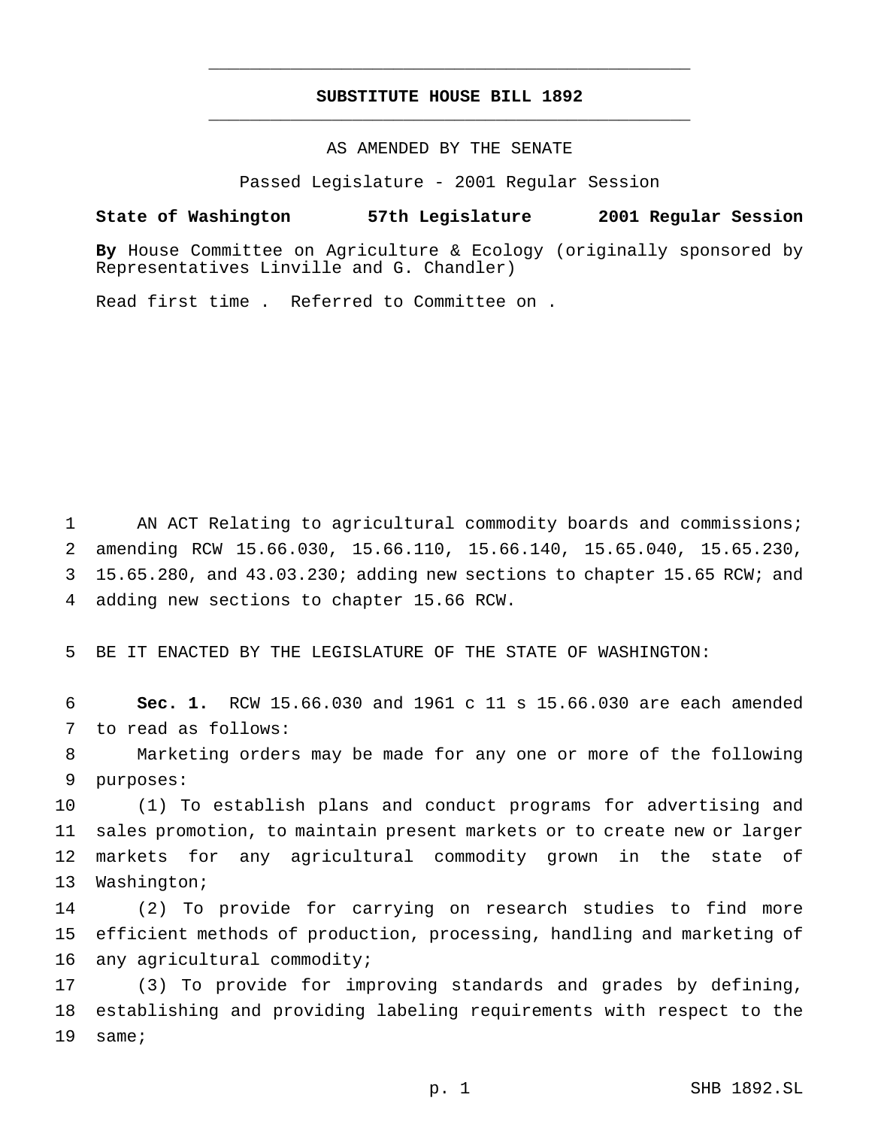## **SUBSTITUTE HOUSE BILL 1892** \_\_\_\_\_\_\_\_\_\_\_\_\_\_\_\_\_\_\_\_\_\_\_\_\_\_\_\_\_\_\_\_\_\_\_\_\_\_\_\_\_\_\_\_\_\_\_

\_\_\_\_\_\_\_\_\_\_\_\_\_\_\_\_\_\_\_\_\_\_\_\_\_\_\_\_\_\_\_\_\_\_\_\_\_\_\_\_\_\_\_\_\_\_\_

AS AMENDED BY THE SENATE

Passed Legislature - 2001 Regular Session

## **State of Washington 57th Legislature 2001 Regular Session**

**By** House Committee on Agriculture & Ecology (originally sponsored by Representatives Linville and G. Chandler)

Read first time . Referred to Committee on .

1 AN ACT Relating to agricultural commodity boards and commissions; amending RCW 15.66.030, 15.66.110, 15.66.140, 15.65.040, 15.65.230, 15.65.280, and 43.03.230; adding new sections to chapter 15.65 RCW; and adding new sections to chapter 15.66 RCW.

5 BE IT ENACTED BY THE LEGISLATURE OF THE STATE OF WASHINGTON:

6 **Sec. 1.** RCW 15.66.030 and 1961 c 11 s 15.66.030 are each amended 7 to read as follows:

8 Marketing orders may be made for any one or more of the following 9 purposes:

 (1) To establish plans and conduct programs for advertising and sales promotion, to maintain present markets or to create new or larger markets for any agricultural commodity grown in the state of Washington;

14 (2) To provide for carrying on research studies to find more 15 efficient methods of production, processing, handling and marketing of 16 any agricultural commodity;

17 (3) To provide for improving standards and grades by defining, 18 establishing and providing labeling requirements with respect to the 19 same;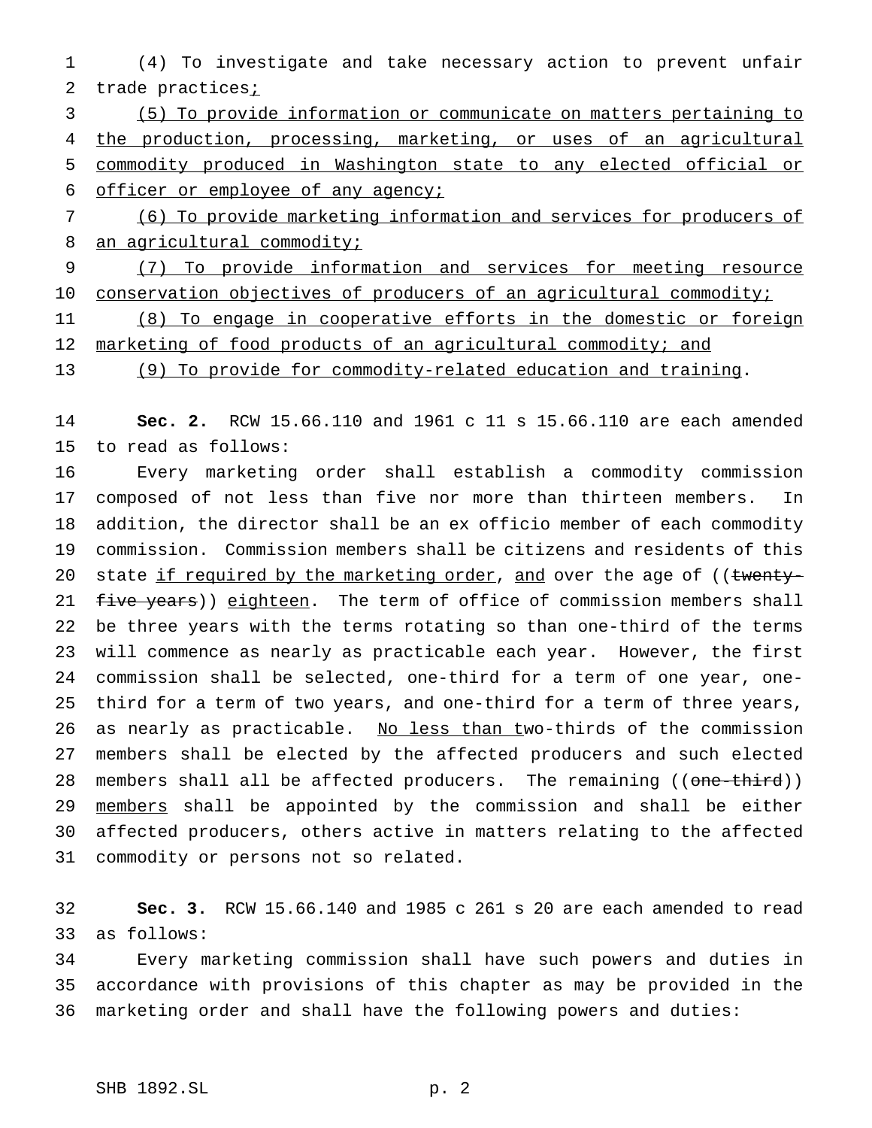(4) To investigate and take necessary action to prevent unfair 2 trade practices;

 (5) To provide information or communicate on matters pertaining to the production, processing, marketing, or uses of an agricultural commodity produced in Washington state to any elected official or officer or employee of any agency;

 (6) To provide marketing information and services for producers of 8 an agricultural commodity;

 (7) To provide information and services for meeting resource 10 conservation objectives of producers of an agricultural commodity;

 (8) To engage in cooperative efforts in the domestic or foreign 12 marketing of food products of an agricultural commodity; and

(9) To provide for commodity-related education and training.

 **Sec. 2.** RCW 15.66.110 and 1961 c 11 s 15.66.110 are each amended to read as follows:

 Every marketing order shall establish a commodity commission composed of not less than five nor more than thirteen members. In addition, the director shall be an ex officio member of each commodity commission. Commission members shall be citizens and residents of this 20 state if required by the marketing order, and over the age of ((twenty-21 five years)) eighteen. The term of office of commission members shall be three years with the terms rotating so than one-third of the terms will commence as nearly as practicable each year. However, the first commission shall be selected, one-third for a term of one year, one- third for a term of two years, and one-third for a term of three years, 26 as nearly as practicable. No less than two-thirds of the commission members shall be elected by the affected producers and such elected 28 members shall all be affected producers. The remaining ((one-third)) members shall be appointed by the commission and shall be either affected producers, others active in matters relating to the affected commodity or persons not so related.

 **Sec. 3.** RCW 15.66.140 and 1985 c 261 s 20 are each amended to read as follows:

 Every marketing commission shall have such powers and duties in accordance with provisions of this chapter as may be provided in the marketing order and shall have the following powers and duties: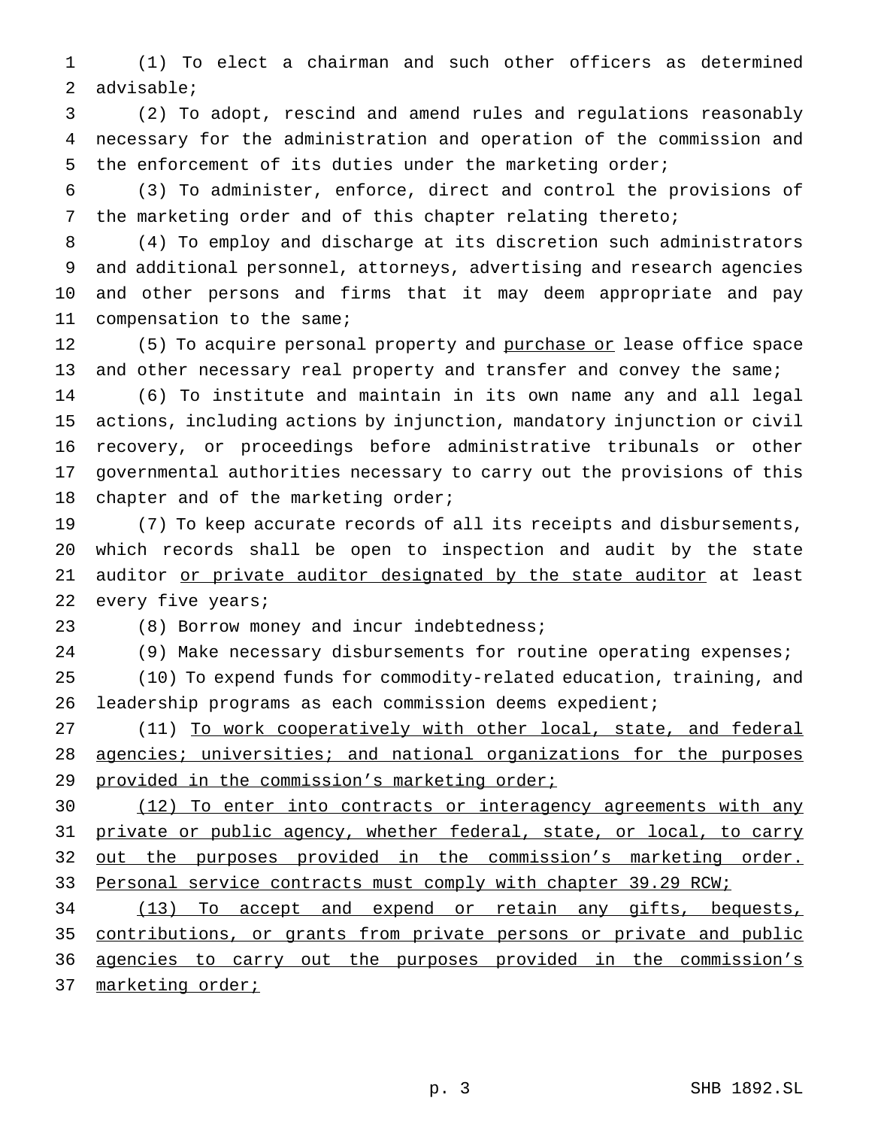(1) To elect a chairman and such other officers as determined advisable;

 (2) To adopt, rescind and amend rules and regulations reasonably necessary for the administration and operation of the commission and the enforcement of its duties under the marketing order;

 (3) To administer, enforce, direct and control the provisions of the marketing order and of this chapter relating thereto;

 (4) To employ and discharge at its discretion such administrators and additional personnel, attorneys, advertising and research agencies and other persons and firms that it may deem appropriate and pay compensation to the same;

12 (5) To acquire personal property and purchase or lease office space 13 and other necessary real property and transfer and convey the same;

 (6) To institute and maintain in its own name any and all legal actions, including actions by injunction, mandatory injunction or civil recovery, or proceedings before administrative tribunals or other governmental authorities necessary to carry out the provisions of this 18 chapter and of the marketing order;

 (7) To keep accurate records of all its receipts and disbursements, which records shall be open to inspection and audit by the state auditor or private auditor designated by the state auditor at least 22 every five years;

(8) Borrow money and incur indebtedness;

(9) Make necessary disbursements for routine operating expenses;

 (10) To expend funds for commodity-related education, training, and leadership programs as each commission deems expedient;

27 (11) To work cooperatively with other local, state, and federal agencies; universities; and national organizations for the purposes 29 provided in the commission's marketing order;

 (12) To enter into contracts or interagency agreements with any 31 private or public agency, whether federal, state, or local, to carry 32 out the purposes provided in the commission's marketing order. 33 Personal service contracts must comply with chapter 39.29 RCW;

 (13) To accept and expend or retain any gifts, bequests, 35 contributions, or grants from private persons or private and public agencies to carry out the purposes provided in the commission's 37 marketing order;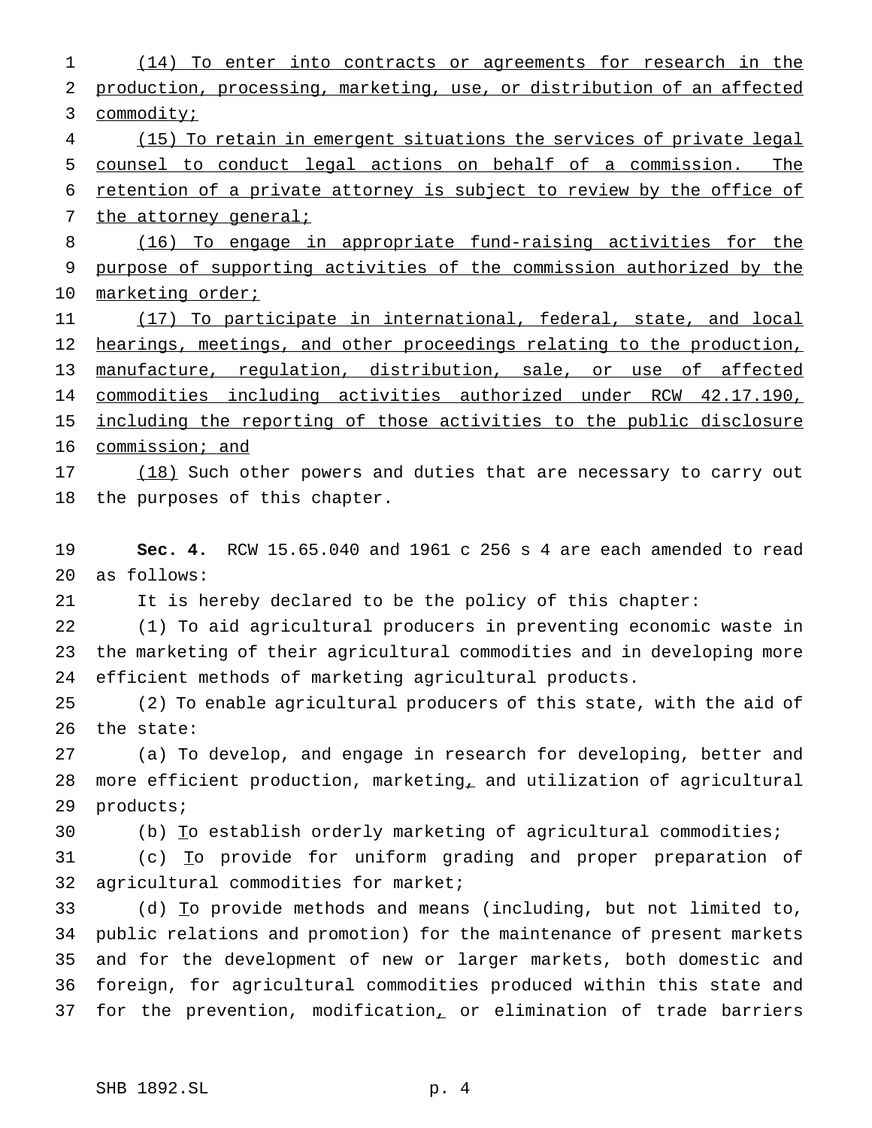(14) To enter into contracts or agreements for research in the production, processing, marketing, use, or distribution of an affected 3 commodity; (15) To retain in emergent situations the services of private legal counsel to conduct legal actions on behalf of a commission. The retention of a private attorney is subject to review by the office of 7 the attorney general; (16) To engage in appropriate fund-raising activities for the purpose of supporting activities of the commission authorized by the 10 marketing order; (17) To participate in international, federal, state, and local 12 hearings, meetings, and other proceedings relating to the production, manufacture, regulation, distribution, sale, or use of affected commodities including activities authorized under RCW 42.17.190, 15 including the reporting of those activities to the public disclosure 16 commission; and 17 (18) Such other powers and duties that are necessary to carry out the purposes of this chapter. **Sec. 4.** RCW 15.65.040 and 1961 c 256 s 4 are each amended to read as follows: It is hereby declared to be the policy of this chapter: (1) To aid agricultural producers in preventing economic waste in the marketing of their agricultural commodities and in developing more efficient methods of marketing agricultural products. (2) To enable agricultural producers of this state, with the aid of the state: (a) To develop, and engage in research for developing, better and more efficient production, marketing, and utilization of agricultural products; 30 (b) To establish orderly marketing of agricultural commodities; (c) To provide for uniform grading and proper preparation of agricultural commodities for market; (d) To provide methods and means (including, but not limited to, public relations and promotion) for the maintenance of present markets and for the development of new or larger markets, both domestic and foreign, for agricultural commodities produced within this state and 37 for the prevention, modification, or elimination of trade barriers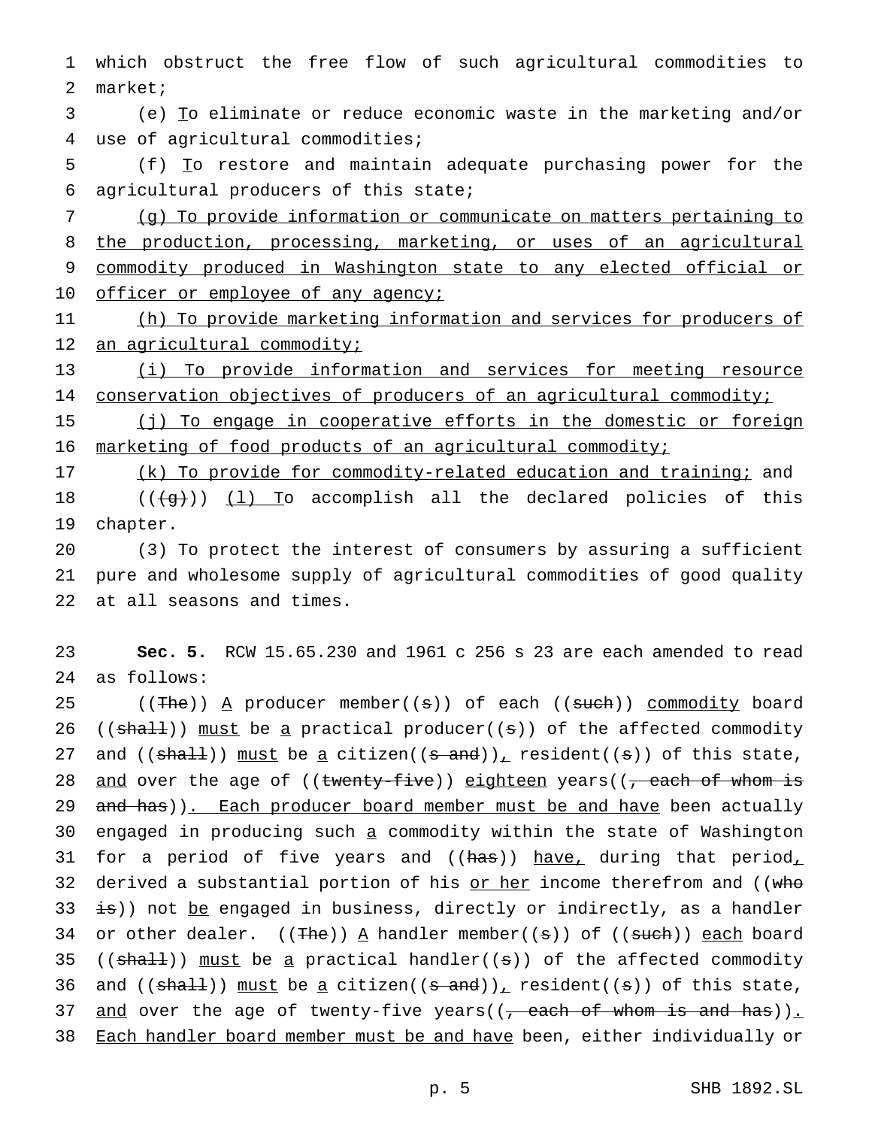1 which obstruct the free flow of such agricultural commodities to 2 market;

3 (e) To eliminate or reduce economic waste in the marketing and/or 4 use of agricultural commodities;

5 (f) To restore and maintain adequate purchasing power for the 6 agricultural producers of this state;

7 (g) To provide information or communicate on matters pertaining to 8 the production, processing, marketing, or uses of an agricultural 9 commodity produced in Washington state to any elected official or 10 officer or employee of any agency;

11 (h) To provide marketing information and services for producers of 12 an agricultural commodity;

13 (i) To provide information and services for meeting resource 14 conservation objectives of producers of an agricultural commodity;

15 (j) To engage in cooperative efforts in the domestic or foreign 16 marketing of food products of an agricultural commodity;

17 (k) To provide for commodity-related education and training; and 18  $((\overline{g}))$   $(1)$  To accomplish all the declared policies of this 19 chapter.

20 (3) To protect the interest of consumers by assuring a sufficient 21 pure and wholesome supply of agricultural commodities of good quality 22 at all seasons and times.

23 **Sec. 5.** RCW 15.65.230 and 1961 c 256 s 23 are each amended to read 24 as follows:

25 ((The)) A producer member((s)) of each ((such)) commodity board 26 (( $sha11$ )) must be a practical producer( $(s)$ ) of the affected commodity 27 and (( $shall$ )) must be a citizen(( $s$  and)), resident(( $s$ )) of this state, 28 and over the age of ((twenty-five)) eighteen years((, each of whom is 29 and has)). Each producer board member must be and have been actually 30 engaged in producing such a commodity within the state of Washington 31 for a period of five years and (( $\frac{h}{\text{max}}$ ) have, during that period, 32 derived a substantial portion of his  $or her$  income therefrom and (( $w$ ho</u> 33  $\pm$ s)) not be engaged in business, directly or indirectly, as a handler 34 or other dealer.  $((\text{The}))$  A handler member((s)) of ((such)) each board 35 (( $\text{shall}$ )) must be a practical handler( $(\text{s})$ ) of the affected commodity 36 and (( $shaH$ )) must be a citizen(( $s$  and)), resident(( $s$ )) of this state, 37 and over the age of twenty-five years( $(\tau$  each of whom is and has)). 38 Each handler board member must be and have been, either individually or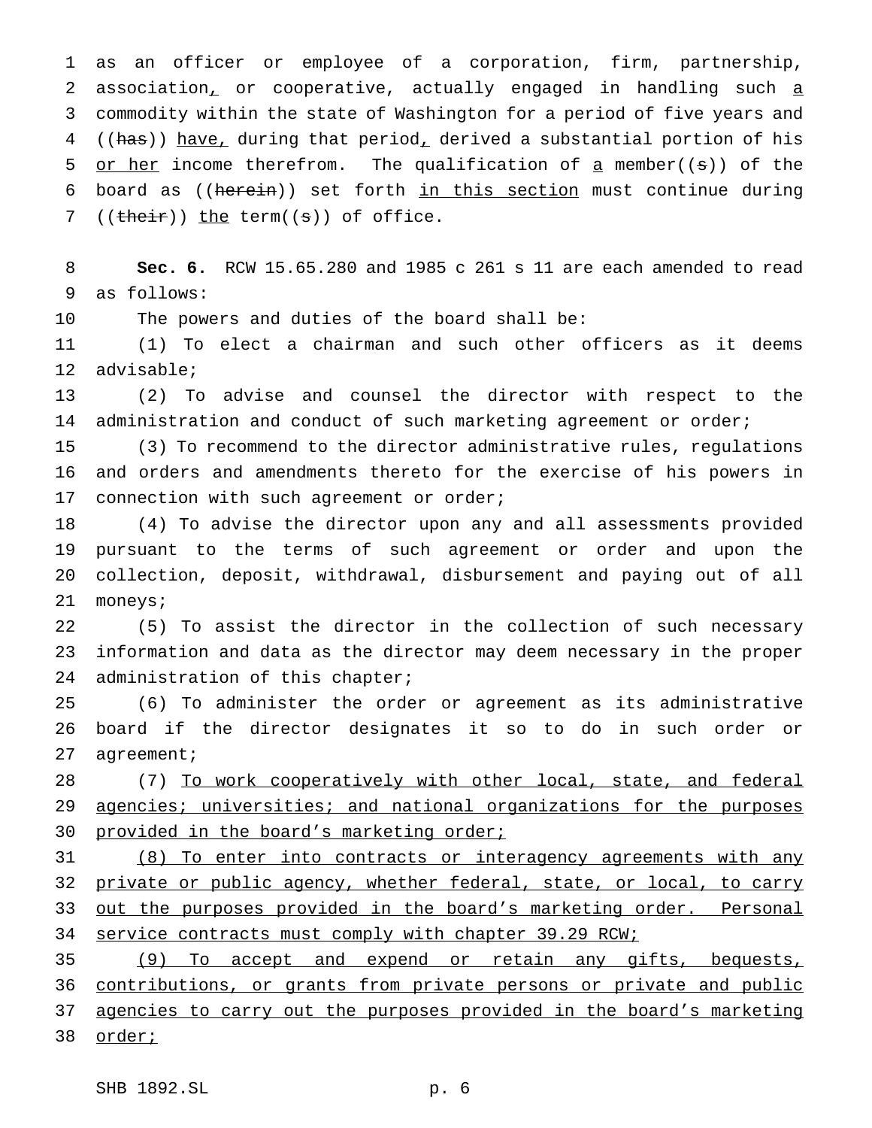1 as an officer or employee of a corporation, firm, partnership, 2 association, or cooperative, actually engaged in handling such a 3 commodity within the state of Washington for a period of five years and 4 ((has)) have, during that period, derived a substantial portion of his 5 or her income therefrom. The qualification of  $\alpha$  member((s)) of the 6 board as ((herein)) set forth in this section must continue during 7 (( $t$ heir)) the term( $(s)$ ) of office.

8 **Sec. 6.** RCW 15.65.280 and 1985 c 261 s 11 are each amended to read 9 as follows:

10 The powers and duties of the board shall be:

11 (1) To elect a chairman and such other officers as it deems 12 advisable;

13 (2) To advise and counsel the director with respect to the 14 administration and conduct of such marketing agreement or order;

15 (3) To recommend to the director administrative rules, regulations 16 and orders and amendments thereto for the exercise of his powers in 17 connection with such agreement or order;

 (4) To advise the director upon any and all assessments provided pursuant to the terms of such agreement or order and upon the collection, deposit, withdrawal, disbursement and paying out of all 21 moneys;

22 (5) To assist the director in the collection of such necessary 23 information and data as the director may deem necessary in the proper 24 administration of this chapter;

25 (6) To administer the order or agreement as its administrative 26 board if the director designates it so to do in such order or 27 agreement;

28 (7) To work cooperatively with other local, state, and federal 29 agencies; universities; and national organizations for the purposes 30 provided in the board's marketing order;

31 (8) To enter into contracts or interagency agreements with any 32 private or public agency, whether federal, state, or local, to carry 33 out the purposes provided in the board's marketing order. Personal 34 service contracts must comply with chapter 39.29 RCW;

35 (9) To accept and expend or retain any gifts, bequests, 36 contributions, or grants from private persons or private and public 37 agencies to carry out the purposes provided in the board's marketing 38 order;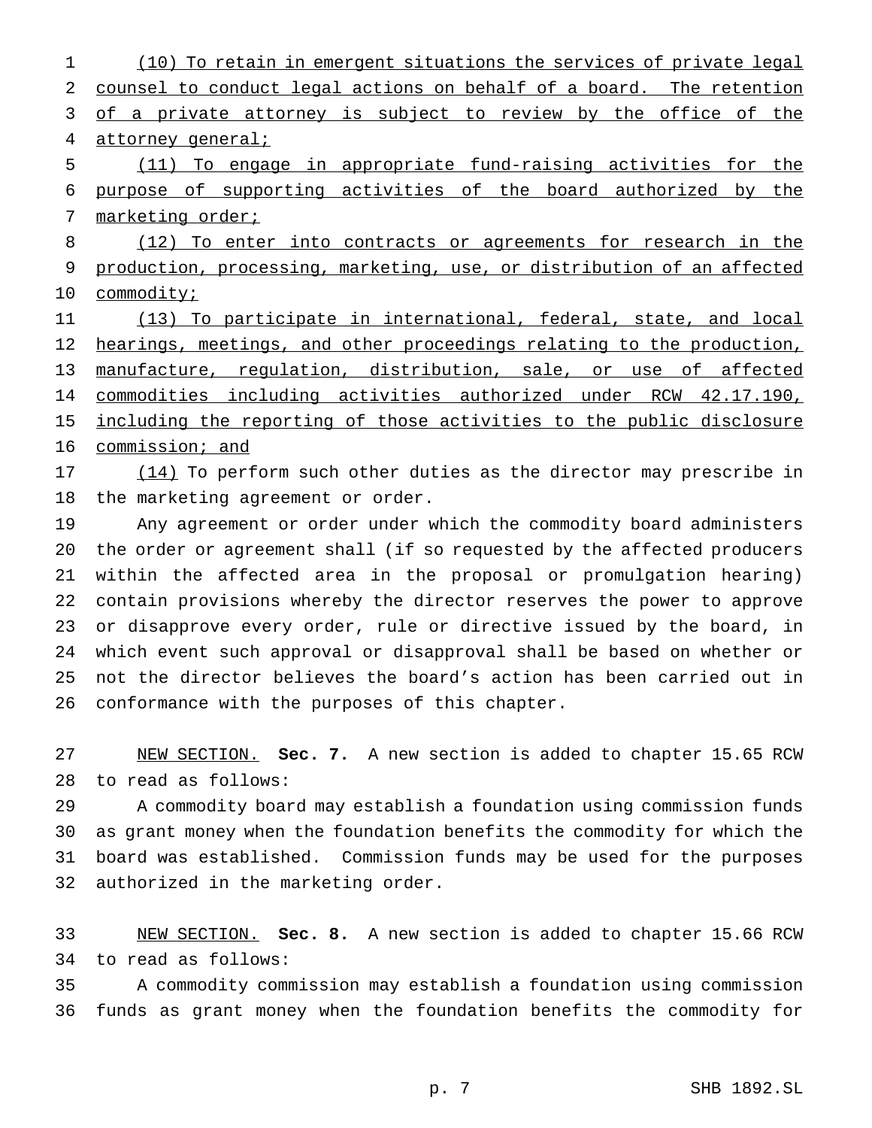(10) To retain in emergent situations the services of private legal counsel to conduct legal actions on behalf of a board. The retention 3 of a private attorney is subject to review by the office of the 4 attorney general;

 (11) To engage in appropriate fund-raising activities for the purpose of supporting activities of the board authorized by the 7 marketing order;

8 (12) To enter into contracts or agreements for research in the production, processing, marketing, use, or distribution of an affected 10 commodity;

 (13) To participate in international, federal, state, and local 12 hearings, meetings, and other proceedings relating to the production, manufacture, regulation, distribution, sale, or use of affected commodities including activities authorized under RCW 42.17.190, 15 including the reporting of those activities to the public disclosure commission; and

17 (14) To perform such other duties as the director may prescribe in the marketing agreement or order.

 Any agreement or order under which the commodity board administers the order or agreement shall (if so requested by the affected producers within the affected area in the proposal or promulgation hearing) contain provisions whereby the director reserves the power to approve or disapprove every order, rule or directive issued by the board, in which event such approval or disapproval shall be based on whether or not the director believes the board's action has been carried out in conformance with the purposes of this chapter.

 NEW SECTION. **Sec. 7.** A new section is added to chapter 15.65 RCW to read as follows:

 A commodity board may establish a foundation using commission funds as grant money when the foundation benefits the commodity for which the board was established. Commission funds may be used for the purposes authorized in the marketing order.

 NEW SECTION. **Sec. 8.** A new section is added to chapter 15.66 RCW to read as follows:

 A commodity commission may establish a foundation using commission funds as grant money when the foundation benefits the commodity for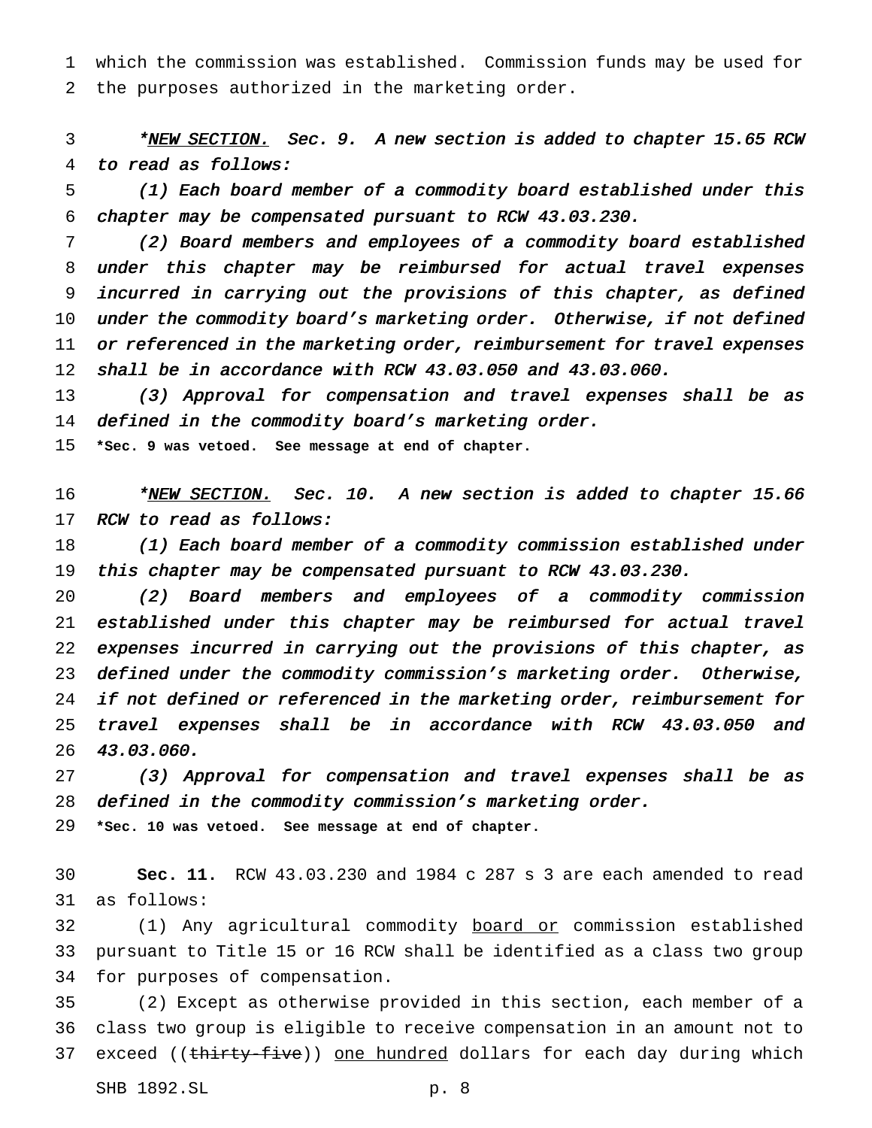which the commission was established. Commission funds may be used for the purposes authorized in the marketing order.

3 \*NEW SECTION. Sec. 9. A new section is added to chapter 15.65 RCW to read as follows:

 (1) Each board member of <sup>a</sup> commodity board established under this chapter may be compensated pursuant to RCW 43.03.230.

 (2) Board members and employees of <sup>a</sup> commodity board established under this chapter may be reimbursed for actual travel expenses incurred in carrying out the provisions of this chapter, as defined under the commodity board's marketing order. Otherwise, if not defined 11 or referenced in the marketing order, reimbursement for travel expenses shall be in accordance with RCW 43.03.050 and 43.03.060.

13 (3) Approval for compensation and travel expenses shall be as 14 defined in the commodity board's marketing order.

**\*Sec. 9 was vetoed. See message at end of chapter.**

16 \*NEW SECTION. Sec. 10. A new section is added to chapter 15.66 17 RCW to read as follows:

 (1) Each board member of <sup>a</sup> commodity commission established under 19 this chapter may be compensated pursuant to RCW 43.03.230.

 (2) Board members and employees of <sup>a</sup> commodity commission established under this chapter may be reimbursed for actual travel expenses incurred in carrying out the provisions of this chapter, as defined under the commodity commission's marketing order. Otherwise, 24 if not defined or referenced in the marketing order, reimbursement for travel expenses shall be in accordance with RCW 43.03.050 and 43.03.060.

 (3) Approval for compensation and travel expenses shall be as defined in the commodity commission's marketing order.

**\*Sec. 10 was vetoed. See message at end of chapter.**

 **Sec. 11.** RCW 43.03.230 and 1984 c 287 s 3 are each amended to read as follows:

 (1) Any agricultural commodity board or commission established pursuant to Title 15 or 16 RCW shall be identified as a class two group for purposes of compensation.

 (2) Except as otherwise provided in this section, each member of a class two group is eligible to receive compensation in an amount not to 37 exceed ((thirty-five)) one hundred dollars for each day during which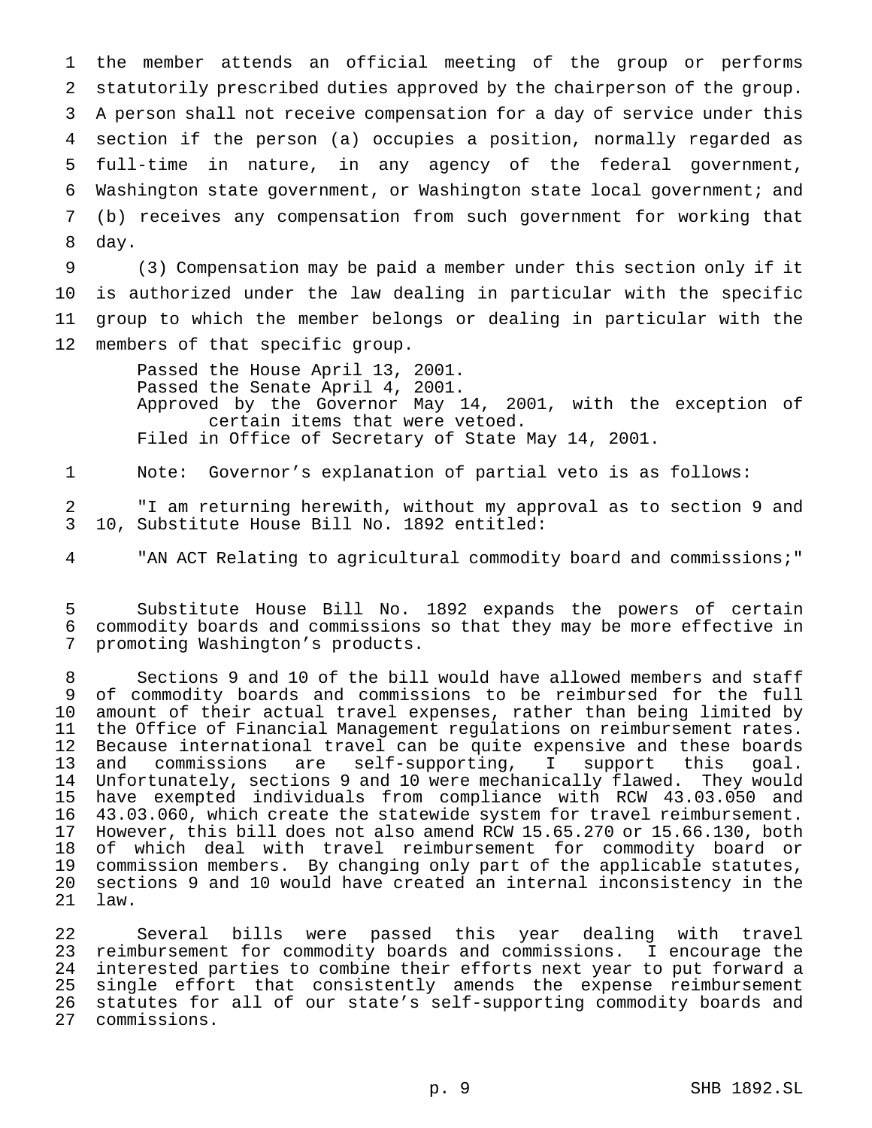the member attends an official meeting of the group or performs statutorily prescribed duties approved by the chairperson of the group. A person shall not receive compensation for a day of service under this section if the person (a) occupies a position, normally regarded as full-time in nature, in any agency of the federal government, Washington state government, or Washington state local government; and (b) receives any compensation from such government for working that day.

 (3) Compensation may be paid a member under this section only if it is authorized under the law dealing in particular with the specific group to which the member belongs or dealing in particular with the members of that specific group.

> Passed the House April 13, 2001. Passed the Senate April 4, 2001. Approved by the Governor May 14, 2001, with the exception of certain items that were vetoed. Filed in Office of Secretary of State May 14, 2001.

Note: Governor's explanation of partial veto is as follows:

 "I am returning herewith, without my approval as to section 9 and 10, Substitute House Bill No. 1892 entitled:

"AN ACT Relating to agricultural commodity board and commissions;"

 Substitute House Bill No. 1892 expands the powers of certain commodity boards and commissions so that they may be more effective in promoting Washington's products.

 Sections 9 and 10 of the bill would have allowed members and staff of commodity boards and commissions to be reimbursed for the full amount of their actual travel expenses, rather than being limited by the Office of Financial Management regulations on reimbursement rates. Because international travel can be quite expensive and these boards and commissions are self-supporting, I support this goal. Unfortunately, sections 9 and 10 were mechanically flawed. They would have exempted individuals from compliance with RCW 43.03.050 and 43.03.060, which create the statewide system for travel reimbursement. However, this bill does not also amend RCW 15.65.270 or 15.66.130, both of which deal with travel reimbursement for commodity board or commission members. By changing only part of the applicable statutes, sections 9 and 10 would have created an internal inconsistency in the law.

 Several bills were passed this year dealing with travel reimbursement for commodity boards and commissions. I encourage the 24 interested parties to combine their efforts next year to put forward a<br>25 single effort that consistently amends the expense reimbursement single effort that consistently amends the expense reimbursement statutes for all of our state's self-supporting commodity boards and commissions.